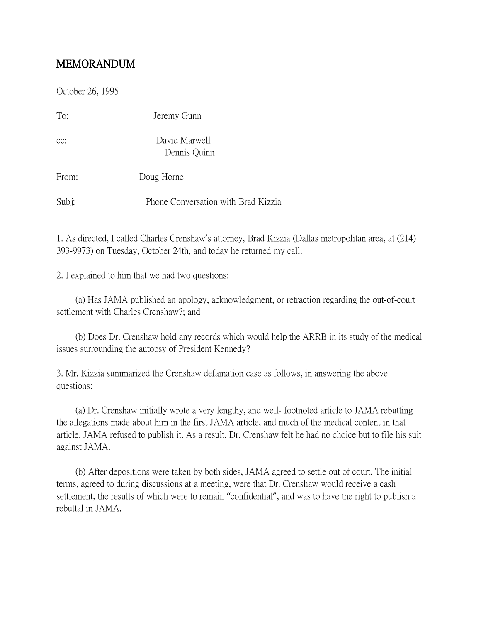## MEMORANDUM

October 26, 1995

| To:   | Jeremy Gunn                         |
|-------|-------------------------------------|
| CC:   | David Marwell<br>Dennis Quinn       |
| From: | Doug Horne                          |
| Subj: | Phone Conversation with Brad Kizzia |

1. As directed, I called Charles Crenshaw's attorney, Brad Kizzia (Dallas metropolitan area, at (214) 393-9973) on Tuesday, October 24th, and today he returned my call.

2. I explained to him that we had two questions:

 (a) Has JAMA published an apology, acknowledgment, or retraction regarding the out-of-court settlement with Charles Crenshaw?; and

 (b) Does Dr. Crenshaw hold any records which would help the ARRB in its study of the medical issues surrounding the autopsy of President Kennedy?

3. Mr. Kizzia summarized the Crenshaw defamation case as follows, in answering the above questions:

 (a) Dr. Crenshaw initially wrote a very lengthy, and well- footnoted article to JAMA rebutting the allegations made about him in the first JAMA article, and much of the medical content in that article. JAMA refused to publish it. As a result, Dr. Crenshaw felt he had no choice but to file his suit against JAMA.

 (b) After depositions were taken by both sides, JAMA agreed to settle out of court. The initial terms, agreed to during discussions at a meeting, were that Dr. Crenshaw would receive a cash settlement, the results of which were to remain "confidential", and was to have the right to publish a rebuttal in JAMA.